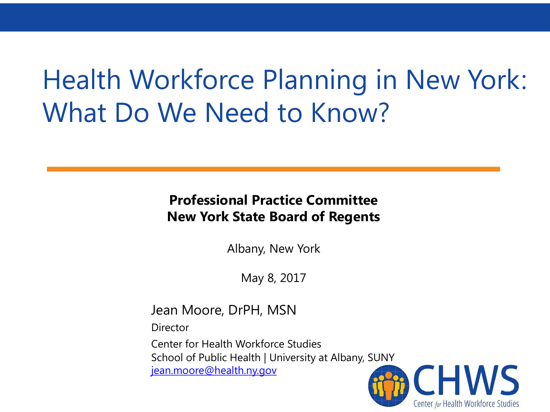# Health Workforce Planning in New York: What Do We Need to Know?

#### **Professional Practice Committee New York State Board of Regents**

Albany, New York

May 8, 2017

Jean Moore, DrPH, MSN

**Director** 

Center for Health Workforce Studies School of Public Health | University at Albany, SUNY [jean.moore@health.ny.gov](mailto:jean.moore@health.ny.gov)

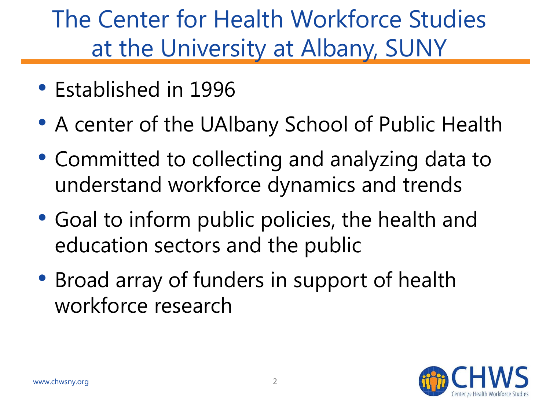## The Center for Health Workforce Studies at the University at Albany, SUNY

- Established in 1996
- A center of the UAlbany School of Public Health
- Committed to collecting and analyzing data to understand workforce dynamics and trends
- Goal to inform public policies, the health and education sectors and the public
- Broad array of funders in support of health workforce research

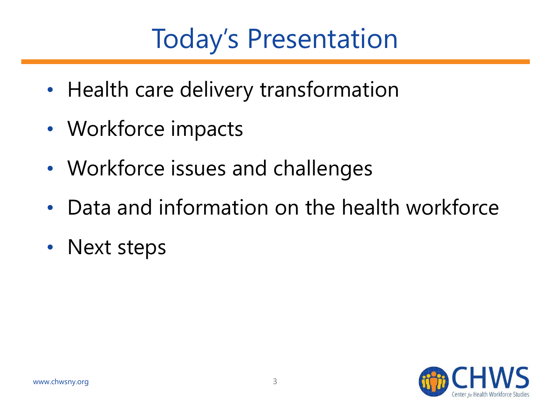# Today's Presentation

- Health care delivery transformation
- Workforce impacts
- Workforce issues and challenges
- Data and information on the health workforce
- Next steps

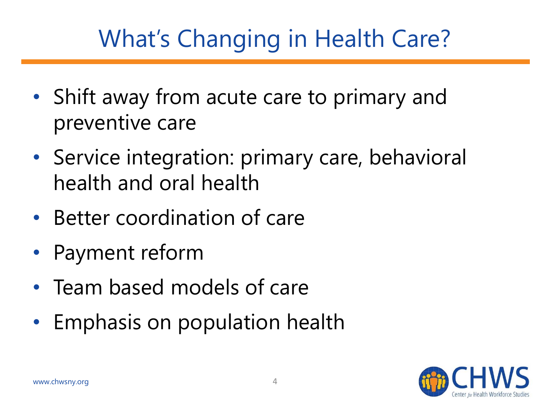# What's Changing in Health Care?

- Shift away from acute care to primary and preventive care
- Service integration: primary care, behavioral health and oral health
- Better coordination of care
- Payment reform
- Team based models of care
- Emphasis on population health

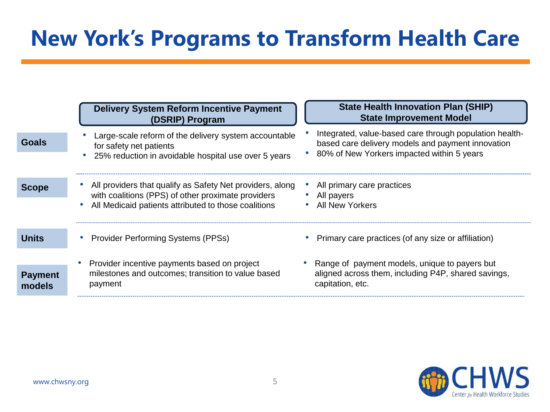#### **New York's Programs to Transform Health Care**

|                          | <b>Delivery System Reform Incentive Payment</b><br>(DSRIP) Program                                                                                                      | <b>State Health Innovation Plan (SHIP)</b><br><b>State Improvement Model</b>                                                                               |
|--------------------------|-------------------------------------------------------------------------------------------------------------------------------------------------------------------------|------------------------------------------------------------------------------------------------------------------------------------------------------------|
| Goals                    | Large-scale reform of the delivery system accountable<br>for safety net patients<br>25% reduction in avoidable hospital use over 5 years                                | Integrated, value-based care through population health-<br>based care delivery models and payment innovation<br>80% of New Yorkers impacted within 5 years |
| <b>Scope</b>             | All providers that qualify as Safety Net providers, along<br>with coalitions (PPS) of other proximate providers<br>All Medicaid patients attributed to those coalitions | All primary care practices<br>All payers<br>All New Yorkers                                                                                                |
| <b>Units</b>             | <b>Provider Performing Systems (PPSs)</b>                                                                                                                               | Primary care practices (of any size or affiliation)                                                                                                        |
| <b>Payment</b><br>models | Provider incentive payments based on project<br>milestones and outcomes; transition to value based<br>payment                                                           | Range of payment models, unique to payers but<br>aligned across them, including P4P, shared savings,<br>capitation, etc.                                   |

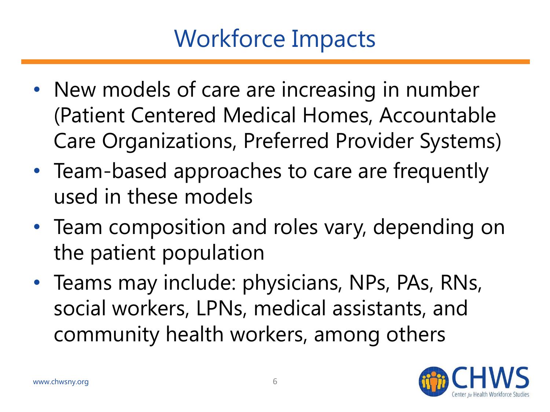# Workforce Impacts

- New models of care are increasing in number (Patient Centered Medical Homes, Accountable Care Organizations, Preferred Provider Systems)
- Team-based approaches to care are frequently used in these models
- Team composition and roles vary, depending on the patient population
- Teams may include: physicians, NPs, PAs, RNs, social workers, LPNs, medical assistants, and community health workers, among others

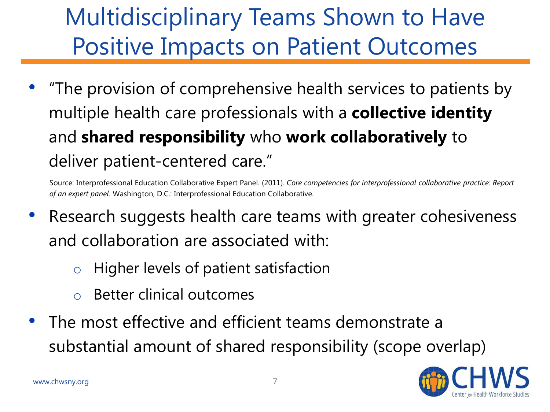# Multidisciplinary Teams Shown to Have Positive Impacts on Patient Outcomes

• "The provision of comprehensive health services to patients by multiple health care professionals with a **collective identity**  and **shared responsibility** who **work collaboratively** to deliver patient-centered care."

Source: Interprofessional Education Collaborative Expert Panel. (2011). *Core competencies for interprofessional collaborative practice: Report of an expert panel.* Washington, D.C.: Interprofessional Education Collaborative.

- Research suggests health care teams with greater cohesiveness and collaboration are associated with:
	- o Higher levels of patient satisfaction
	- o Better clinical outcomes
- The most effective and efficient teams demonstrate a substantial amount of shared responsibility (scope overlap)

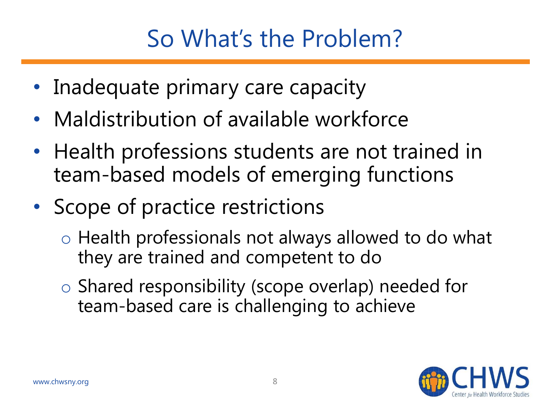# So What's the Problem?

- Inadequate primary care capacity
- Maldistribution of available workforce
- Health professions students are not trained in team-based models of emerging functions
- Scope of practice restrictions
	- o Health professionals not always allowed to do what they are trained and competent to do
	- o Shared responsibility (scope overlap) needed for team-based care is challenging to achieve

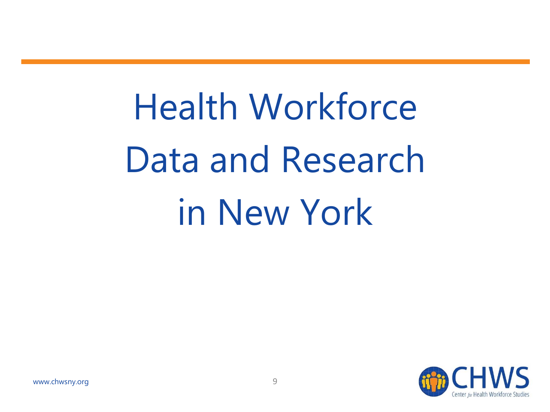Health Workforce Data and Research in New York

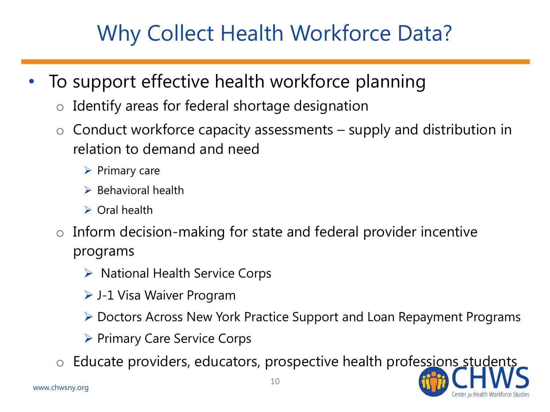#### Why Collect Health Workforce Data?

- To support effective health workforce planning
	- $\circ$  Identify areas for federal shortage designation
	- $\circ$  Conduct workforce capacity assessments supply and distribution in relation to demand and need
		- ➢ Primary care
		- ➢ Behavioral health
		- ➢ Oral health
	- $\circ$  Inform decision-making for state and federal provider incentive programs
		- ➢ National Health Service Corps
		- ➢ J-1 Visa Waiver Program
		- ➢ Doctors Across New York Practice Support and Loan Repayment Programs
		- ➢ Primary Care Service Corps
	- o Educate providers, educators, prospective health professions students

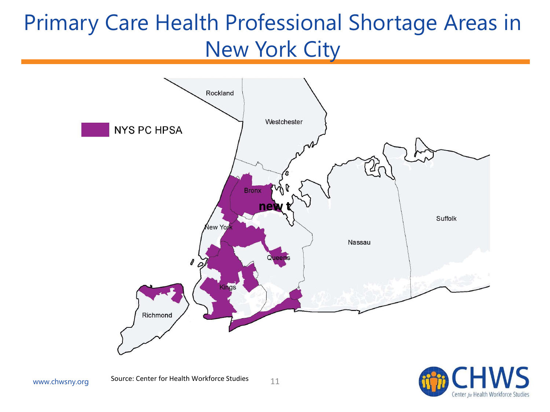#### Primary Care Health Professional Shortage Areas in New York City



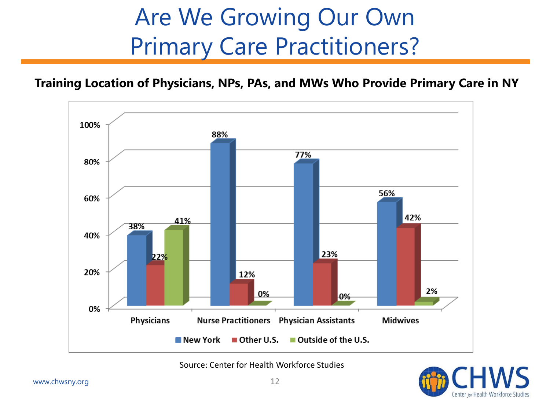# Are We Growing Our Own Primary Care Practitioners?

#### **Training Location of Physicians, NPs, PAs, and MWs Who Provide Primary Care in NY**



Source: Center for Health Workforce Studies

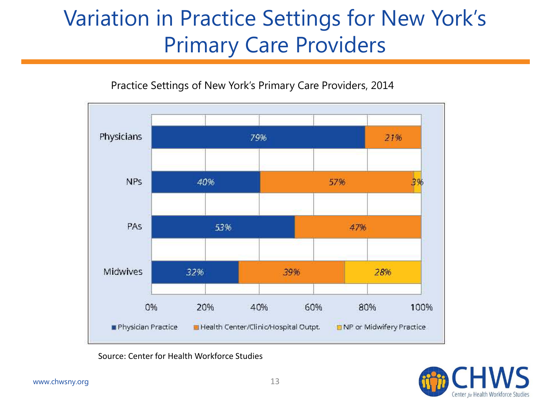#### Variation in Practice Settings for New York's Primary Care Providers





Source: Center for Health Workforce Studies

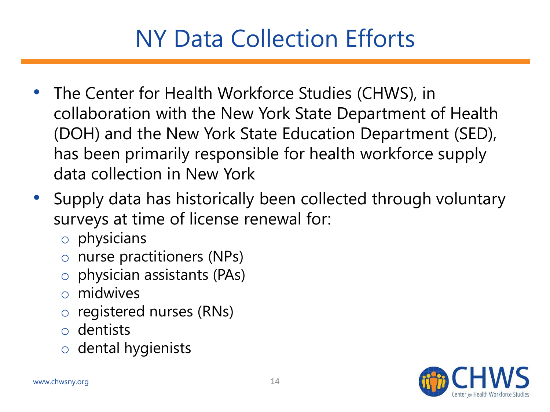# NY Data Collection Efforts

- The Center for Health Workforce Studies (CHWS), in collaboration with the New York State Department of Health (DOH) and the New York State Education Department (SED), has been primarily responsible for health workforce supply data collection in New York
- Supply data has historically been collected through voluntary surveys at time of license renewal for:
	- o physicians
	- o nurse practitioners (NPs)
	- physician assistants (PAs)
	- o midwives
	- o registered nurses (RNs)
	- o dentists
	- o dental hygienists

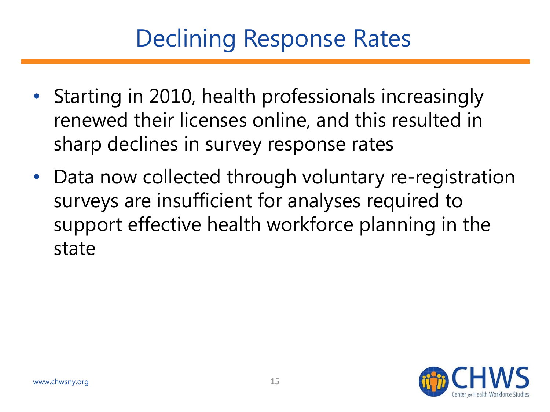# Declining Response Rates

- Starting in 2010, health professionals increasingly renewed their licenses online, and this resulted in sharp declines in survey response rates
- Data now collected through voluntary re-registration surveys are insufficient for analyses required to support effective health workforce planning in the state

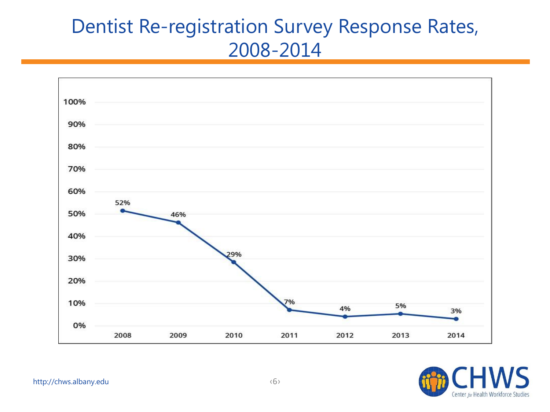#### Dentist Re-registration Survey Response Rates, 2008-2014



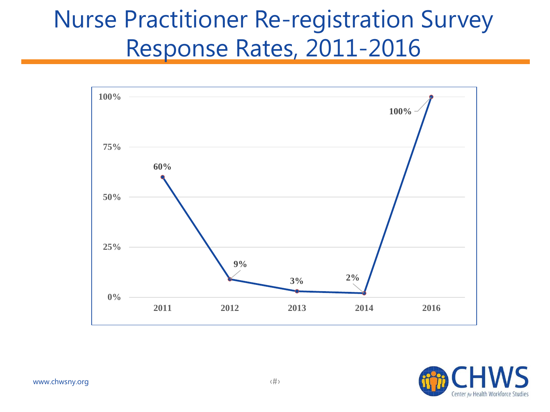#### Nurse Practitioner Re-registration Survey Response Rates, 2011-2016



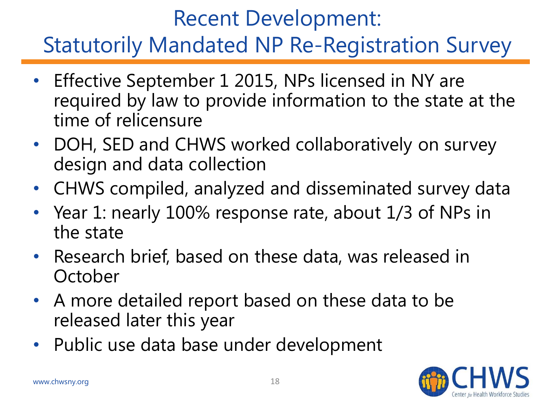#### Recent Development: Statutorily Mandated NP Re-Registration Survey

- Effective September 1 2015, NPs licensed in NY are required by law to provide information to the state at the time of relicensure
- DOH, SED and CHWS worked collaboratively on survey design and data collection
- CHWS compiled, analyzed and disseminated survey data
- Year 1: nearly 100% response rate, about 1/3 of NPs in the state
- Research brief, based on these data, was released in **October**
- A more detailed report based on these data to be released later this year
- Public use data base under development

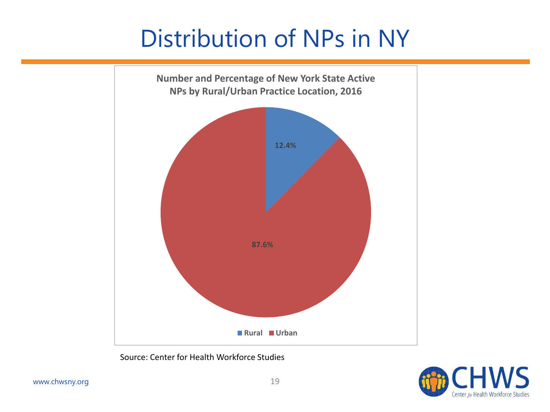## Distribution of NPs in NY



Source: Center for Health Workforce Studies

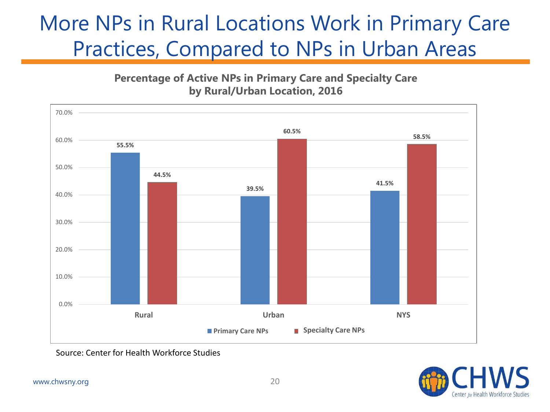#### More NPs in Rural Locations Work in Primary Care Practices, Compared to NPs in Urban Areas

**Percentage of Active NPs in Primary Care and Specialty Care by Rural/Urban Location, 2016**



Source: Center for Health Workforce Studies

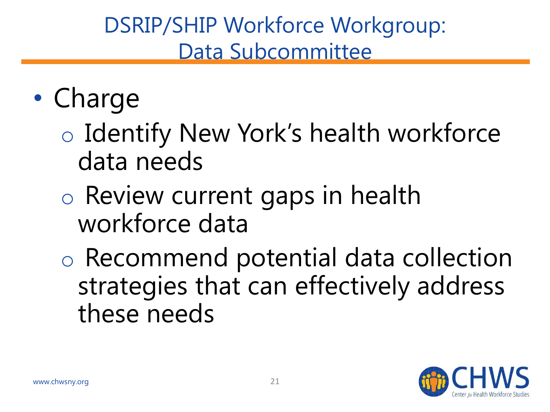#### DSRIP/SHIP Workforce Workgroup: Data Subcommittee

# • Charge

o Identify New York's health workforce data needs

o Review current gaps in health workforce data

o Recommend potential data collection strategies that can effectively address these needs

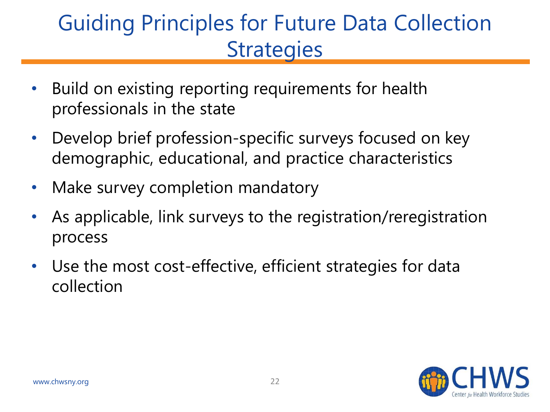#### Guiding Principles for Future Data Collection **Strategies**

- Build on existing reporting requirements for health professionals in the state
- Develop brief profession-specific surveys focused on key demographic, educational, and practice characteristics
- Make survey completion mandatory
- As applicable, link surveys to the registration/reregistration process
- Use the most cost-effective, efficient strategies for data collection

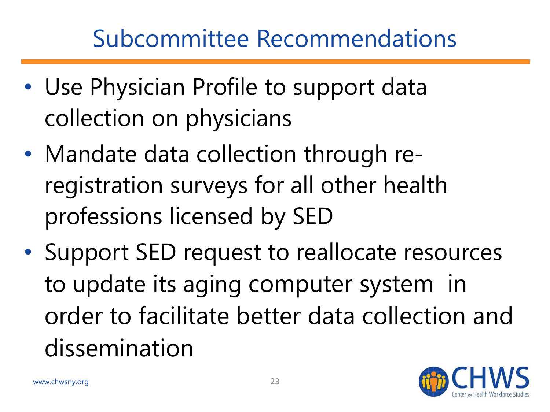# Subcommittee Recommendations

- Use Physician Profile to support data collection on physicians
- Mandate data collection through reregistration surveys for all other health professions licensed by SED
- Support SED request to reallocate resources to update its aging computer system in order to facilitate better data collection and dissemination

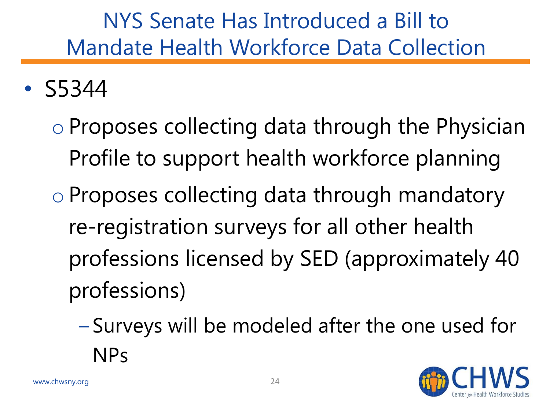#### NYS Senate Has Introduced a Bill to Mandate Health Workforce Data Collection

• S5344

o Proposes collecting data through the Physician Profile to support health workforce planning o Proposes collecting data through mandatory re-registration surveys for all other health professions licensed by SED (approximately 40 professions)

– Surveys will be modeled after the one used for NPs